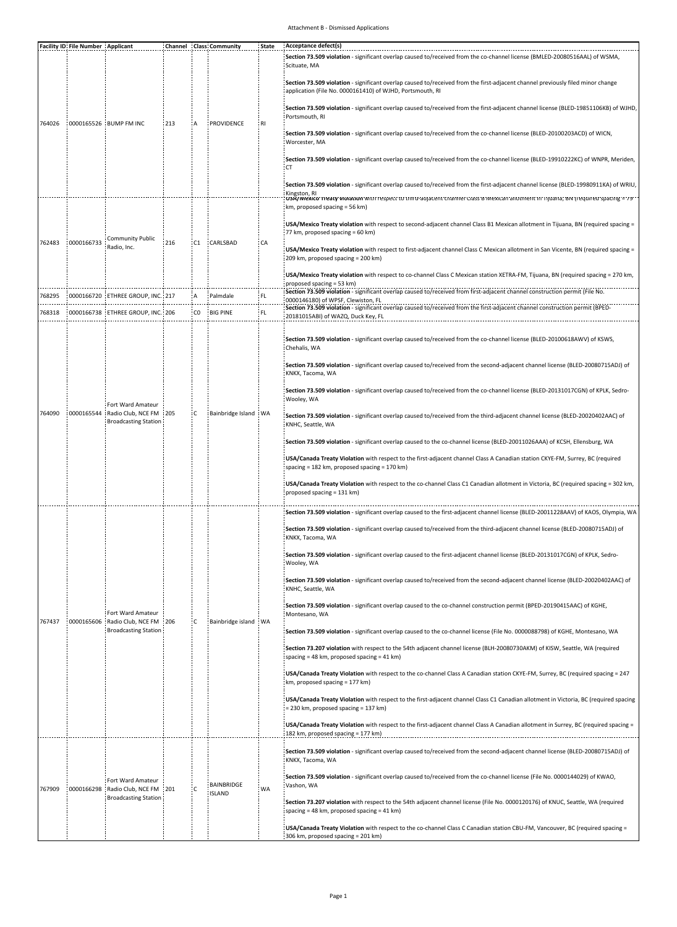## Attachment B - Dismissed Applications

|        | <b>Facility ID: File Number Applicant</b> |                                                                                            |      |      | Channel : Class: Community  | State      | Acceptance defect(s)<br>Section 73.509 violation - significant overlap caused to/received from the co-channel license (BMLED-20080516AAL) of WSMA<br>Scituate, MA                                                                                                                                                                    |
|--------|-------------------------------------------|--------------------------------------------------------------------------------------------|------|------|-----------------------------|------------|--------------------------------------------------------------------------------------------------------------------------------------------------------------------------------------------------------------------------------------------------------------------------------------------------------------------------------------|
| 764026 |                                           | :0000165526 : BUMP FM INC                                                                  |      |      | PROVIDENCE                  | : RI       | Section 73.509 violation - significant overlap caused to/received from the first-adjacent channel previously filed minor change<br>application (File No. 0000161410) of WJHD, Portsmouth, RI<br>Section 73.509 violation - significant overlap caused to/received from the first-adjacent channel license (BLED-19851106KB) of WJHD, |
|        |                                           |                                                                                            | :213 |      |                             |            | Portsmouth, RI                                                                                                                                                                                                                                                                                                                       |
|        |                                           |                                                                                            |      |      |                             |            | Section 73.509 violation - significant overlap caused to/received from the co-channel license (BLED-20100203ACD) of WICN,<br>Worcester, MA                                                                                                                                                                                           |
|        |                                           |                                                                                            |      |      |                             |            | Section 73.509 violation - significant overlap caused to/received from the co-channel license (BLED-19910222KC) of WNPR, Meriden,<br>: CT                                                                                                                                                                                            |
|        |                                           |                                                                                            |      |      |                             |            | Section 73.509 violation - significant overlap caused to/received from the first-adjacent channel license (BLED-19980911KA) of WRIU<br>Kingston, RI<br>USA/MEXICO Treaty Molation With respect to third-adjacent channel Crass Bowexican allotment in Tijdana, BN Tredulfed spacing = 79°                                            |
| 762483 | :0000166733                               | <b>Community Public</b><br>Radio, Inc.                                                     | 216  | : C1 | CARLSBAD                    | : CA<br>FL | km, proposed spacing = 56 km)                                                                                                                                                                                                                                                                                                        |
|        |                                           |                                                                                            |      |      |                             |            | USA/Mexico Treaty violation with respect to second-adjacent channel Class B1 Mexican allotment in Tijuana, BN (required spacing =<br>77 km, proposed spacing = 60 km)                                                                                                                                                                |
|        |                                           |                                                                                            |      |      |                             |            | USA/Mexico Treaty violation with respect to first-adjacent channel Class C Mexican allotment in San Vicente, BN (required spacing =<br>209 km, proposed spacing = 200 km)                                                                                                                                                            |
|        |                                           |                                                                                            |      |      |                             |            | USA/Mexico Treaty violation with respect to co-channel Class C Mexican station XETRA-FM, Tijuana, BN (required spacing = 270 km,<br>proposed spacing = 53 km)                                                                                                                                                                        |
| 768295 |                                           | 0000166720 : ETHREE GROUP, INC.: 217                                                       |      |      | : Palmdale                  |            | Section 73.509 violation - significant overlap caused to/received from first-adjacent channel construction permit (File No.<br>0000146180) of WPSF, Clewiston, FL                                                                                                                                                                    |
| 768318 |                                           | :0000166738 : ETHREE GROUP, INC.: 206                                                      |      | CO   | <b>BIG PINE</b>             | FL         | Section 73.509 violation - significant overlap caused to/received from the first-adjacent channel construction permit (BPED-<br>20181015ABI) of WAZQ, Duck Key, FL                                                                                                                                                                   |
|        |                                           | Fort Ward Amateur<br>: Radio Club, NCE FM<br><b>Broadcasting Station</b>                   |      | : C  | Bainbridge Island : WA      |            | Section 73.509 violation - significant overlap caused to/received from the co-channel license (BLED-20100618AWV) of KSWS,<br>Chehalis, WA                                                                                                                                                                                            |
|        |                                           |                                                                                            | :205 |      |                             |            | Section 73.509 violation - significant overlap caused to/received from the second-adjacent channel license (BLED-20080715ADJ) of<br>KNKX, Tacoma, WA                                                                                                                                                                                 |
|        |                                           |                                                                                            |      |      |                             |            | Section 73.509 violation - significant overlap caused to/received from the co-channel license (BLED-20131017CGN) of KPLK, Sedro-<br>: Wooley, WA                                                                                                                                                                                     |
| 764090 | 0000165544                                |                                                                                            |      |      |                             |            | Section 73.509 violation - significant overlap caused to/received from the third-adjacent channel license (BLED-20020402AAC) of<br>KNHC, Seattle, WA                                                                                                                                                                                 |
|        |                                           |                                                                                            |      |      |                             |            | Section 73.509 violation - significant overlap caused to the co-channel license (BLED-20011026AAA) of KCSH, Ellensburg, WA                                                                                                                                                                                                           |
|        |                                           |                                                                                            |      |      |                             |            | USA/Canada Treaty Violation with respect to the first-adjacent channel Class A Canadian station CKYE-FM, Surrey, BC (required<br>spacing = 182 km, proposed spacing = 170 km)                                                                                                                                                        |
|        |                                           |                                                                                            |      |      |                             |            | USA/Canada Treaty Violation with respect to the co-channel Class C1 Canadian allotment in Victoria, BC (required spacing = 302 km,<br>proposed spacing = 131 km)                                                                                                                                                                     |
|        |                                           | Fort Ward Amateur<br>:0000165606 : Radio Club, NCE FM : 206<br><b>Broadcasting Station</b> |      | iC.  | Bainbridge island : WA      |            | Section 73.509 violation - significant overlap caused to the first-adjacent channel license (BLED-20011228AAV) of KAOS, Olympia, WA                                                                                                                                                                                                  |
|        |                                           |                                                                                            |      |      |                             |            | Section 73.509 violation - significant overlap caused to/received from the third-adjacent channel license (BLED-20080715ADJ) of<br>KNKX, Tacoma, WA                                                                                                                                                                                  |
|        |                                           |                                                                                            |      |      |                             |            | Section 73.509 violation - significant overlap caused to the first-adjacent channel license (BLED-20131017CGN) of KPLK, Sedro-<br>Wooley, WA                                                                                                                                                                                         |
|        |                                           |                                                                                            |      |      |                             |            | Section 73.509 violation - significant overlap caused to/received from the second-adjacent channel license (BLED-20020402AAC) of<br>KNHC, Seattle, WA                                                                                                                                                                                |
| 767437 |                                           |                                                                                            |      |      |                             |            | Section 73.509 violation - significant overlap caused to the co-channel construction permit (BPED-20190415AAC) of KGHE,<br>Montesano, WA                                                                                                                                                                                             |
|        |                                           |                                                                                            |      |      |                             |            | Section 73.509 violation - significant overlap caused to the co-channel license (File No. 0000088798) of KGHE, Montesano, WA                                                                                                                                                                                                         |
|        |                                           |                                                                                            |      |      |                             |            | Section 73.207 violation with respect to the 54th adjacent channel license (BLH-20080730AKM) of KISW, Seattle, WA (required<br>spacing = 48 km, proposed spacing = 41 km)                                                                                                                                                            |
|        |                                           |                                                                                            |      |      |                             |            | USA/Canada Treaty Violation with respect to the co-channel Class A Canadian station CKYE-FM, Surrey, BC (required spacing = 247<br>km, proposed spacing = 177 km)                                                                                                                                                                    |
|        |                                           |                                                                                            |      |      |                             |            | USA/Canada Treaty Violation with respect to the first-adjacent channel Class C1 Canadian allotment in Victoria, BC (required spacing<br>= 230 km, proposed spacing = 137 km)                                                                                                                                                         |
|        |                                           |                                                                                            |      |      |                             |            | USA/Canada Treaty Violation with respect to the first-adjacent channel Class A Canadian allotment in Surrey, BC (required spacing =<br>182 km, proposed spacing = 177 km)                                                                                                                                                            |
| 767909 |                                           | Fort Ward Amateur<br>:0000166298 Radio Club, NCE FM<br><b>Broadcasting Station</b>         | :201 | ÷с   | BAINBRIDGE<br><b>ISLAND</b> |            | Section 73.509 violation - significant overlap caused to/received from the second-adjacent channel license (BLED-20080715ADJ) of<br>: KNKX, Tacoma, WA                                                                                                                                                                               |
|        |                                           |                                                                                            |      |      |                             | WA.        | Section 73.509 violation - significant overlap caused to/received from the co-channel license (File No. 0000144029) of KWAO,<br>: Vashon, WA                                                                                                                                                                                         |
|        |                                           |                                                                                            |      |      |                             |            | Section 73.207 violation with respect to the 54th adjacent channel license (File No. 0000120176) of KNUC, Seattle, WA (required<br>spacing = 48 km, proposed spacing = 41 km)                                                                                                                                                        |
|        |                                           |                                                                                            |      |      |                             |            | : USA/Canada Treaty Violation with respect to the co-channel Class C Canadian station CBU-FM, Vancouver, BC (required spacing =<br>:306 km, proposed spacing = 201 km)                                                                                                                                                               |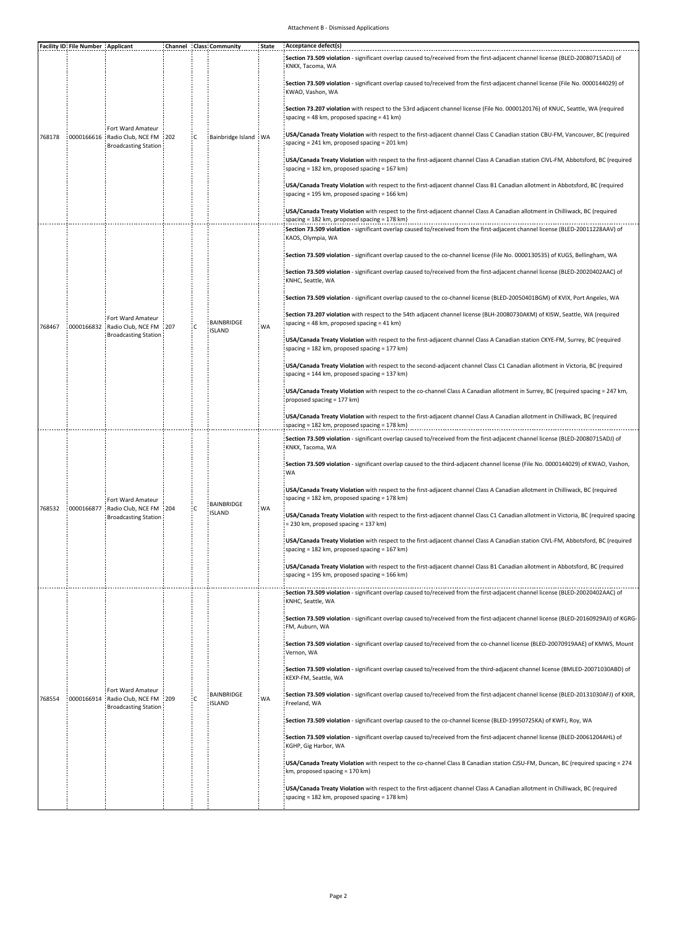## Attachment B - Dismissed Applications

|        | <b>Facility ID: File Number : Applicant</b> |                                                                                |  |     | Channel : Class: Community         | State | Acceptance defect(s)<br>Section 73.509 violation - significant overlap caused to/received from the first-adjacent channel license (BLED-20080715ADJ) of<br>KNKX, Tacoma, WA       |
|--------|---------------------------------------------|--------------------------------------------------------------------------------|--|-----|------------------------------------|-------|-----------------------------------------------------------------------------------------------------------------------------------------------------------------------------------|
| 768178 | 0000166616                                  | Fort Ward Amateur<br>: Radio Club, NCE FM : 202<br><b>Broadcasting Station</b> |  | ŧс  | Bainbridge Island : WA             |       | Section 73.509 violation - significant overlap caused to/received from the first-adjacent channel license (File No. 0000144029) of<br>KWAO, Vashon, WA                            |
|        |                                             |                                                                                |  |     |                                    |       | Section 73.207 violation with respect to the 53rd adjacent channel license (File No. 0000120176) of KNUC, Seattle, WA (required<br>spacing = 48 km, proposed spacing = 41 km)     |
|        |                                             |                                                                                |  |     |                                    |       | USA/Canada Treaty Violation with respect to the first-adjacent channel Class C Canadian station CBU-FM, Vancouver, BC (required<br>spacing = 241 km, proposed spacing = 201 km)   |
|        |                                             |                                                                                |  |     |                                    |       | USA/Canada Treaty Violation with respect to the first-adjacent channel Class A Canadian station CIVL-FM, Abbotsford, BC (required<br>spacing = 182 km, proposed spacing = 167 km) |
|        |                                             |                                                                                |  |     |                                    |       | USA/Canada Treaty Violation with respect to the first-adjacent channel Class B1 Canadian allotment in Abbotsford, BC (required<br>spacing = 195 km, proposed spacing = 166 km)    |
|        |                                             |                                                                                |  |     |                                    |       | USA/Canada Treaty Violation with respect to the first-adjacent channel Class A Canadian allotment in Chilliwack, BC (required<br>spacing = 182 km, proposed spacing = 178 km)     |
|        |                                             | Fort Ward Amateur<br>Radio Club, NCE FM : 207<br><b>Broadcasting Station</b>   |  | iс  | <b>BAINBRIDGE</b><br>ISLAND        | WA    | Section 73.509 violation - significant overlap caused to/received from the first-adjacent channel license (BLED-20011228AAV) of<br>KAOS, Olympia, WA                              |
|        |                                             |                                                                                |  |     |                                    |       | Section 73.509 violation - significant overlap caused to the co-channel license (File No. 0000130535) of KUGS, Bellingham, WA                                                     |
|        |                                             |                                                                                |  |     |                                    |       | Section 73.509 violation - significant overlap caused to/received from the first-adjacent channel license (BLED-20020402AAC) of<br>KNHC, Seattle, WA                              |
|        |                                             |                                                                                |  |     |                                    |       | Section 73.509 violation - significant overlap caused to the co-channel license (BLED-20050401BGM) of KVIX, Port Angeles, WA                                                      |
| 768467 | 0000166832                                  |                                                                                |  |     |                                    |       | Section 73.207 violation with respect to the 54th adjacent channel license (BLH-20080730AKM) of KISW, Seattle, WA (required<br>spacing = 48 km, proposed spacing = 41 km)         |
|        |                                             |                                                                                |  |     |                                    |       | USA/Canada Treaty Violation with respect to the first-adjacent channel Class A Canadian station CKYE-FM, Surrey, BC (required<br>spacing = 182 km, proposed spacing = 177 km)     |
|        |                                             |                                                                                |  |     |                                    |       | USA/Canada Treaty Violation with respect to the second-adjacent channel Class C1 Canadian allotment in Victoria, BC (required<br>spacing = 144 km, proposed spacing = 137 km)     |
|        |                                             |                                                                                |  |     |                                    |       | USA/Canada Treaty Violation with respect to the co-channel Class A Canadian allotment in Surrey, BC (required spacing = 247 km,<br>proposed spacing = 177 km)                     |
|        |                                             |                                                                                |  |     |                                    |       | USA/Canada Treaty Violation with respect to the first-adjacent channel Class A Canadian allotment in Chilliwack, BC (required<br>spacing = 182 km, proposed spacing = 178 km)     |
|        |                                             | Fort Ward Amateur<br>Radio Club, NCE FM 204<br><b>Broadcasting Station</b>     |  | iс  | <b>BAINBRIDGE</b><br><b>ISLAND</b> | WA    | Section 73.509 violation - significant overlap caused to/received from the first-adjacent channel license (BLED-20080715ADJ) of<br>KNKX, Tacoma, WA                               |
| 768532 | 0000166877                                  |                                                                                |  |     |                                    |       | Section 73.509 violation - significant overlap caused to the third-adjacent channel license (File No. 0000144029) of KWAO, Vashon,<br>WA                                          |
|        |                                             |                                                                                |  |     |                                    |       | USA/Canada Treaty Violation with respect to the first-adjacent channel Class A Canadian allotment in Chilliwack, BC (required<br>spacing = 182 km, proposed spacing = 178 km)     |
|        |                                             |                                                                                |  |     |                                    |       | USA/Canada Treaty Violation with respect to the first-adjacent channel Class C1 Canadian allotment in Victoria, BC (required spacing<br>= 230 km, proposed spacing = 137 km)      |
|        |                                             |                                                                                |  |     |                                    |       | USA/Canada Treaty Violation with respect to the first-adjacent channel Class A Canadian station CIVL-FM, Abbotsford, BC (required<br>spacing = 182 km, proposed spacing = 167 km) |
|        |                                             |                                                                                |  |     |                                    |       | USA/Canada Treaty Violation with respect to the first-adjacent channel Class B1 Canadian allotment in Abbotsford, BC (required<br>spacing = 195 km, proposed spacing = 166 km)    |
|        |                                             |                                                                                |  |     |                                    |       | Section 73.509 violation - significant overlap caused to/received from the first-adjacent channel license (BLED-20020402AAC) of                                                   |
|        | 0000166914                                  | Fort Ward Amateur<br>Radio Club, NCE FM : 209<br><b>Broadcasting Station:</b>  |  |     | <b>BAINBRIDGE</b><br>ISLAND        | WA    | KNHC, Seattle, WA<br>Section 73.509 violation - significant overlap caused to/received from the first-adjacent channel license (BLED-20160929AJI) of KGRG-<br>FM. Auburn, WA      |
|        |                                             |                                                                                |  |     |                                    |       | Section 73.509 violation - significant overlap caused to/received from the co-channel license (BLED-20070919AAE) of KMWS, Mount<br>Vernon, WA                                     |
| 768554 |                                             |                                                                                |  |     |                                    |       | Section 73.509 violation - significant overlap caused to/received from the third-adjacent channel license (BMLED-20071030ABD) of<br>KEXP-FM, Seattle, WA                          |
|        |                                             |                                                                                |  | i c |                                    |       | Section 73.509 violation - significant overlap caused to/received from the first-adjacent channel license (BLED-20131030AFJ) of KXIR,<br>Freeland, WA                             |
|        |                                             |                                                                                |  |     |                                    |       | Section 73.509 violation - significant overlap caused to the co-channel license (BLED-19950725KA) of KWFJ, Roy, WA                                                                |
|        |                                             |                                                                                |  |     |                                    |       | Section 73.509 violation - significant overlap caused to/received from the first-adjacent channel license (BLED-20061204AHL) of<br>KGHP, Gig Harbor, WA                           |
|        |                                             |                                                                                |  |     |                                    |       | USA/Canada Treaty Violation with respect to the co-channel Class B Canadian station CJSU-FM, Duncan, BC (required spacing = 274<br>km, proposed spacing = 170 km)                 |
|        |                                             |                                                                                |  |     |                                    |       | USA/Canada Treaty Violation with respect to the first-adjacent channel Class A Canadian allotment in Chilliwack, BC (required<br>spacing = 182 km, proposed spacing = 178 km)     |